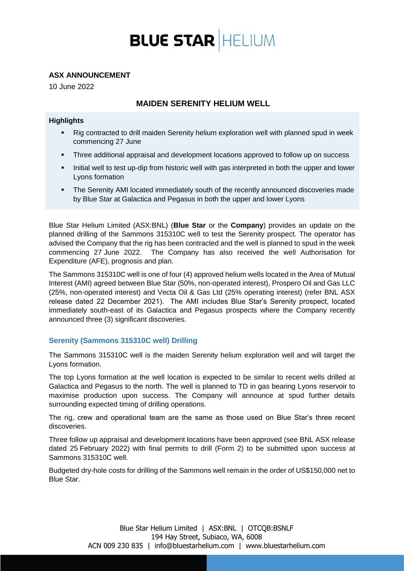# **BLUE STAR HELIUM**

## **ASX ANNOUNCEMENT**

10 June 2022

# **MAIDEN SERENITY HELIUM WELL**

### **Highlights**

- Rig contracted to drill maiden Serenity helium exploration well with planned spud in week commencing 27 June
- **Three additional appraisal and development locations approved to follow up on success**
- Initial well to test up-dip from historic well with gas interpreted in both the upper and lower Lyons formation
- The Serenity AMI located immediately south of the recently announced discoveries made by Blue Star at Galactica and Pegasus in both the upper and lower Lyons

Blue Star Helium Limited (ASX:BNL) (**Blue Star** or the **Company**) provides an update on the planned drilling of the Sammons 315310C well to test the Serenity prospect. The operator has advised the Company that the rig has been contracted and the well is planned to spud in the week commencing 27 June 2022. The Company has also received the well Authorisation for Expenditure (AFE), prognosis and plan.

The Sammons 315310C well is one of four (4) approved helium wells located in the Area of Mutual Interest (AMI) agreed between Blue Star (50%, non-operated interest), Prospero Oil and Gas LLC (25%, non-operated interest) and Vecta Oil & Gas Ltd (25% operating interest) (refer BNL ASX release dated 22 December 2021). The AMI includes Blue Star's Serenity prospect, located immediately south-east of its Galactica and Pegasus prospects where the Company recently announced three (3) significant discoveries.

## **Serenity (Sammons 315310C well) Drilling**

The Sammons 315310C well is the maiden Serenity helium exploration well and will target the Lyons formation.

The top Lyons formation at the well location is expected to be similar to recent wells drilled at Galactica and Pegasus to the north. The well is planned to TD in gas bearing Lyons reservoir to maximise production upon success. The Company will announce at spud further details surrounding expected timing of drilling operations.

The rig, crew and operational team are the same as those used on Blue Star's three recent discoveries.

Three follow up appraisal and development locations have been approved (see BNL ASX release dated 25 February 2022) with final permits to drill (Form 2) to be submitted upon success at Sammons 315310C well.

Budgeted dry-hole costs for drilling of the Sammons well remain in the order of US\$150,000 net to Blue Star.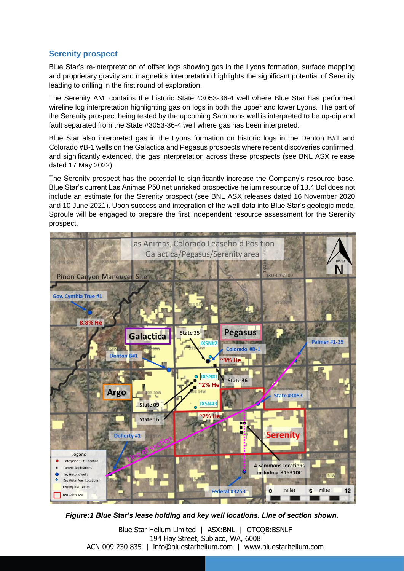# **Serenity prospect**

Blue Star's re-interpretation of offset logs showing gas in the Lyons formation, surface mapping and proprietary gravity and magnetics interpretation highlights the significant potential of Serenity leading to drilling in the first round of exploration.

The Serenity AMI contains the historic State #3053-36-4 well where Blue Star has performed wireline log interpretation highlighting gas on logs in both the upper and lower Lyons. The part of the Serenity prospect being tested by the upcoming Sammons well is interpreted to be up-dip and fault separated from the State #3053-36-4 well where gas has been interpreted.

Blue Star also interpreted gas in the Lyons formation on historic logs in the Denton B#1 and Colorado #B-1 wells on the Galactica and Pegasus prospects where recent discoveries confirmed, and significantly extended, the gas interpretation across these prospects (see BNL ASX release dated 17 May 2022).

The Serenity prospect has the potential to significantly increase the Company's resource base. Blue Star's current Las Animas P50 net unrisked prospective helium resource of 13.4 Bcf does not include an estimate for the Serenity prospect (see BNL ASX releases dated 16 November 2020 and 10 June 2021). Upon success and integration of the well data into Blue Star's geologic model Sproule will be engaged to prepare the first independent resource assessment for the Serenity prospect.



*Figure:1 Blue Star's lease holding and key well locations. Line of section shown.*

Blue Star Helium Limited | ASX:BNL | OTCQB:BSNLF 194 Hay Street, Subiaco, WA, 6008 ACN 009 230 835 | info@bluestarhelium.com | www.bluestarhelium.com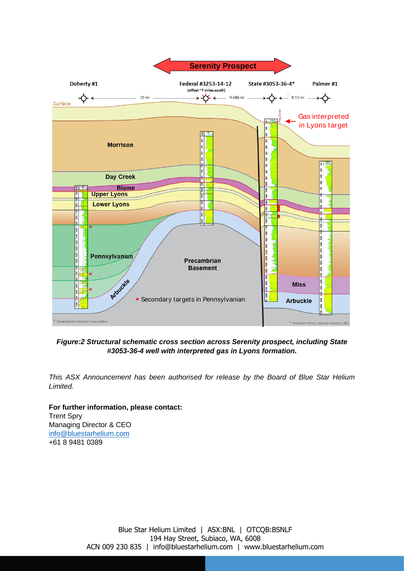

## *Figure:2 Structural schematic cross section across Serenity prospect, including State #3053-36-4 well with interpreted gas in Lyons formation.*

*This ASX Announcement has been authorised for release by the Board of Blue Star Helium Limited.*

**For further information, please contact:** Trent Spry Managing Director & CEO [info@bluestarhelium.com](about:blank) +61 8 9481 0389